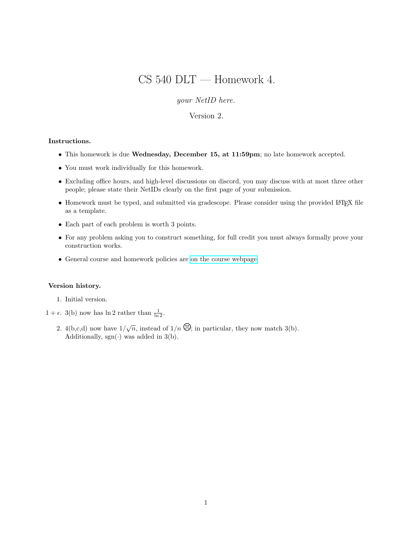# CS 540 DLT — Homework 4.

your NetID here.

### Version 2.

#### Instructions.

- This homework is due Wednesday, December 15, at 11:59pm; no late homework accepted.
- You must work individually for this homework.
- Excluding office hours, and high-level discussions on discord, you may discuss with at most three other people; please state their NetIDs clearly on the first page of your submission.
- Homework must be typed, and submitted via gradescope. Please consider using the provided LATEX file as a template.
- Each part of each problem is worth 3 points.
- For any problem asking you to construct something, for full credit you must always formally prove your construction works.
- General course and homework policies are [on the course webpage.](http://mjt.cs.illinois.edu/courses/dlt-f21/)

#### Version history.

- 1. Initial version.
- $1 + \epsilon$ . 3(b) now has  $\ln 2$  rather than  $\frac{1}{\ln 2}$ .
	- 2. 4(b,c,d) now have  $1/\sqrt{n}$ , instead of  $1/n$   $\Theta$ ; in particular, they now match 3(b). Additionally,  $sgn(\cdot)$  was added in 3(b).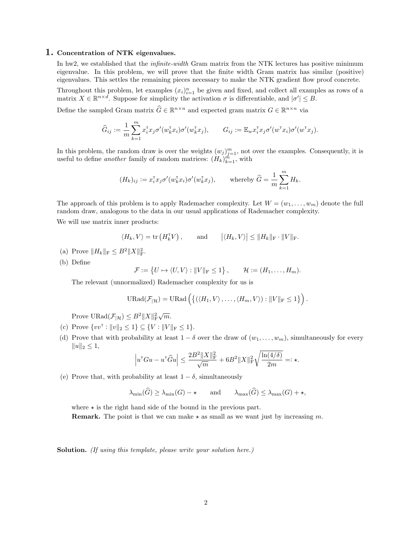#### 1. Concentration of NTK eigenvalues.

In hw2, we established that the *infinite-width* Gram matrix from the NTK lectures has positive minimum eigenvalue. In this problem, we will prove that the finite width Gram matrix has similar (positive) eigenvalues. This settles the remaining pieces necessary to make the NTK gradient flow proof concrete.

Throughout this problem, let examples  $(x_i)_{i=1}^n$  be given and fixed, and collect all examples as rows of a matrix  $X \in \mathbb{R}^{n \times d}$ . Suppose for simplicity the activation  $\sigma$  is differentiable, and  $|\sigma'| \leq B$ .

Define the sampled Gram matrix  $\widehat{G} \in \mathbb{R}^{n \times n}$  and expected gram matrix  $G \in \mathbb{R}^{n \times n}$  via

$$
\widehat{G}_{ij} := \frac{1}{m} \sum_{k=1}^m x_i^{\mathsf{T}} x_j \sigma'(w_k^{\mathsf{T}} x_i) \sigma'(w_k^{\mathsf{T}} x_j), \qquad G_{ij} := \mathbb{E}_w x_i^{\mathsf{T}} x_j \sigma'(w^{\mathsf{T}} x_i) \sigma'(w^{\mathsf{T}} x_j).
$$

In this problem, the random draw is over the weights  $(w_j)_{j=1}^m$ , not over the examples. Consequently, it is useful to define *another* family of random matrices:  $(H_k)_{k=1}^m$ , with

$$
(H_k)_{ij} := x_i^{\mathsf{T}} x_j \sigma'(w_k^{\mathsf{T}} x_i) \sigma'(w_k^{\mathsf{T}} x_j), \qquad \text{whereby } \widehat{G} = \frac{1}{m} \sum_{k=1}^m H_k.
$$

The approach of this problem is to apply Rademacher complexity. Let  $W = (w_1, \ldots, w_m)$  denote the full random draw, analogous to the data in our usual applications of Rademacher complexity.

We will use matrix inner products:

$$
\langle H_k, V \rangle = \text{tr}(H_k^{\mathsf{T}} V), \quad \text{and} \quad |\langle H_k, V \rangle| \leq ||H_k||_{\mathsf{F}} \cdot ||V||_{\mathsf{F}}.
$$

- (a) Prove  $||H_k||_F \leq B^2 ||X||_F^2$ .
- (b) Define

$$
\mathcal{F} := \{ U \mapsto \langle U, V \rangle : ||V||_{\mathcal{F}} \leq 1 \}, \qquad \mathcal{H} := (H_1, \dots, H_m).
$$

The relevant (unnormalized) Rademacher complexity for us is

$$
\text{URad}(\mathcal{F}_{|\mathcal{H}}) = \text{URad}\left(\left\{(\langle H_1, V \rangle, \ldots, \langle H_m, V \rangle) : ||V||_{\text{F}} \leq 1\right\}\right).
$$

Prove  $\text{URad}(\mathcal{F}_{|\mathcal{H}}) \leq B^2 ||X||^2_{\text{F}}$  $\sqrt{m}$ .

- (c) Prove  $\{vv^{\mathsf{T}} : ||v||_2 \leq 1\} \subseteq \{V : ||V||_F \leq 1\}.$
- (d) Prove that with probability at least  $1 \delta$  over the draw of  $(w_1, \ldots, w_m)$ , simultaneously for every  $||u||_2 \leq 1$ ,

$$
\left|u^{\scriptscriptstyle{\text{T}}} G u - u^{\scriptscriptstyle{\text{T}}}\widehat{G} u\right| \leq \frac{2B^2 \|X\|_{\rm F}^2}{\sqrt{m}} + 6 B^2 \|X\|_{\rm F}^2 \sqrt{\frac{\ln(4/\delta)}{2m}} =: \star.
$$

(e) Prove that, with probability at least  $1 - \delta$ , simultaneously

$$
\lambda_{\min}(\widehat{G}) \ge \lambda_{\min}(G) - \star \quad \text{and} \quad \lambda_{\max}(\widehat{G}) \le \lambda_{\max}(G) + \star,
$$

where  $\star$  is the right hand side of the bound in the previous part.

**Remark.** The point is that we can make  $\star$  as small as we want just by increasing m.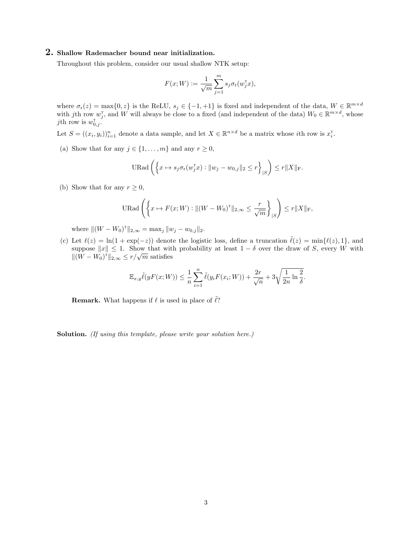#### 2. Shallow Rademacher bound near initialization.

Throughout this problem, consider our usual shallow NTK setup:

$$
F(x;W) := \frac{1}{\sqrt{m}} \sum_{j=1}^{m} s_j \sigma_r(w_j^{\mathsf{T}} x),
$$

where  $\sigma_r(z) = \max\{0, z\}$  is the ReLU,  $s_j \in \{-1, +1\}$  is fixed and independent of the data,  $W \in \mathbb{R}^{m \times d}$ with jth row  $w_j^{\dagger}$ , and W will always be close to a fixed (and independent of the data)  $W_0 \in \mathbb{R}^{m \times d}$ , whose *j*th row is  $w_{0,j}^{\dagger}$ .

Let  $S = ((x_i, y_i))_{i=1}^n$  denote a data sample, and let  $X \in \mathbb{R}^{n \times d}$  be a matrix whose *i*th row is  $x_i^{\dagger}$ .

(a) Show that for any  $j \in \{1, ..., m\}$  and any  $r \geq 0$ ,

$$
\text{URad}\left(\left\{x \mapsto s_j \sigma_{\mathbf{r}}(w_j^{\mathsf{T}} x) : \|w_j - w_{0,j}\|_2 \leq r\right\}_{|S}\right) \leq r \|X\|_{\mathbf{F}}.
$$

(b) Show that for any  $r \geq 0$ ,

$$
\text{URad}\left(\left\{x \mapsto F(x;W) : \|(W - W_0)^{\top}\|_{2,\infty} \le \frac{r}{\sqrt{m}}\right\}_{|S}\right) \le r \|X\|_{\text{F}},
$$

where  $\|(W - W_0)^{\dagger}\|_{2,\infty} = \max_j \|w_j - w_{0,j}\|_2$ .

(c) Let  $\ell(z) = \ln(1 + \exp(-z))$  denote the logistic loss, define a truncation  $\tilde{\ell}(z) = \min{\ell(z), 1}$ , and suppose  $||x|| \leq 1$ . Show that with probability at least  $1 - \delta$  over the draw of S, every W with suppose  $||x|| \leq 1$ . Show that with<br> $||(W - W_0)^{\dagger}||_{2, \infty} \leq r/\sqrt{m}$  satisfies

$$
\mathbb{E}_{x,y}\tilde{\ell}(yF(x;W)) \leq \frac{1}{n}\sum_{i=1}^n \tilde{\ell}(y_iF(x_i;W)) + \frac{2r}{\sqrt{n}} + 3\sqrt{\frac{1}{2n}\ln\frac{2}{\delta}}.
$$

**Remark.** What happens if  $\ell$  is used in place of  $\tilde{\ell}$ ?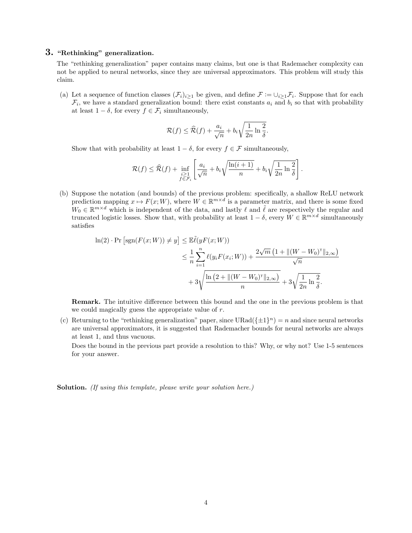## 3. "Rethinking" generalization.

The "rethinking generalization" paper contains many claims, but one is that Rademacher complexity can not be applied to neural networks, since they are universal approximators. This problem will study this claim.

(a) Let a sequence of function classes  $(\mathcal{F}_i)_{i\geq 1}$  be given, and define  $\mathcal{F} := \cup_{i\geq 1} \mathcal{F}_i$ . Suppose that for each  $\mathcal{F}_i$ , we have a standard generalization bound: there exist constants  $a_i$  and  $b_i$  so that with probability at least  $1 - \delta$ , for every  $f \in \mathcal{F}_i$  simultaneously,

$$
\mathcal{R}(f) \leq \widehat{\mathcal{R}}(f) + \frac{a_i}{\sqrt{n}} + b_i \sqrt{\frac{1}{2n} \ln \frac{2}{\delta}}.
$$

Show that with probability at least  $1 - \delta$ , for every  $f \in \mathcal{F}$  simultaneously,

$$
\mathcal{R}(f) \leq \widehat{\mathcal{R}}(f) + \inf_{\substack{i \geq 1 \\ f \in \mathcal{F}_i}} \left[ \frac{a_i}{\sqrt{n}} + b_i \sqrt{\frac{\ln(i+1)}{n}} + b_i \sqrt{\frac{1}{2n} \ln \frac{2}{\delta}} \right].
$$

(b) Suppose the notation (and bounds) of the previous problem: specifically, a shallow ReLU network prediction mapping  $x \mapsto F(x; W)$ , where  $W \in \mathbb{R}^{m \times d}$  is a parameter matrix, and there is some fixed  $W_0 \in \mathbb{R}^{m \times d}$  which is independent of the data, and lastly  $\ell$  and  $\tilde{\ell}$  are respectively the regular and truncated logistic losses. Show that, with probability at least  $1-\delta$ , every  $W \in \mathbb{R}^{m \times d}$  simultaneously satisfies

$$
\ln(2) \cdot \Pr\left[\text{sgn}(F(x;W)) \neq y\right] \leq \mathbb{E}\tilde{\ell}(yF(x;W))
$$
  

$$
\leq \frac{1}{n} \sum_{i=1}^{n} \ell(y_i F(x_i;W)) + \frac{2\sqrt{m}\left(1 + \|(W - W_0)^{\top}\|_{2,\infty}\right)}{\sqrt{n}}
$$
  

$$
+ 3\sqrt{\frac{\ln\left(2 + \|(W - W_0)^{\top}\|_{2,\infty}\right)}{n}} + 3\sqrt{\frac{1}{2n}\ln\frac{2}{\delta}}.
$$

Remark. The intuitive difference between this bound and the one in the previous problem is that we could magically guess the appropriate value of r.

(c) Returning to the "rethinking generalization" paper, since  $URad(\{\pm 1\}^n) = n$  and since neural networks are universal approximators, it is suggested that Rademacher bounds for neural networks are always at least 1, and thus vacuous.

Does the bound in the previous part provide a resolution to this? Why, or why not? Use 1-5 sentences for your answer.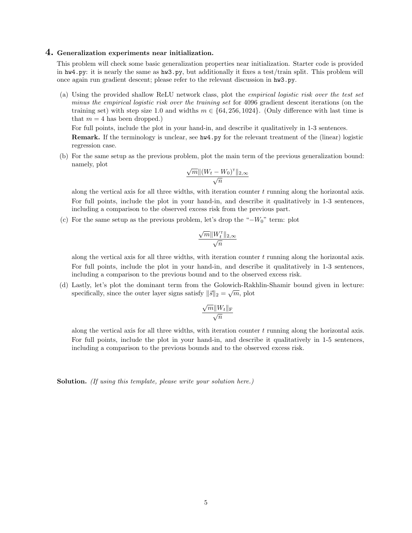#### 4. Generalization experiments near initialization.

This problem will check some basic generalization properties near initialization. Starter code is provided in hw4.py: it is nearly the same as hw3.py, but additionally it fixes a test/train split. This problem will once again run gradient descent; please refer to the relevant discussion in hw3.py.

(a) Using the provided shallow ReLU network class, plot the empirical logistic risk over the test set minus the empirical logistic risk over the training set for 4096 gradient descent iterations (on the training set) with step size 1.0 and widths  $m \in \{64, 256, 1024\}$ . (Only difference with last time is that  $m = 4$  has been dropped.)

For full points, include the plot in your hand-in, and describe it qualitatively in 1-3 sentences.

Remark. If the terminology is unclear, see hw4.py for the relevant treatment of the (linear) logistic regression case.

(b) For the same setup as the previous problem, plot the main term of the previous generalization bound: namely, plot √

$$
\frac{\sqrt{m} \|(W_t - W_0)^{\top}\|_{2,\infty}}{\sqrt{n}}
$$

along the vertical axis for all three widths, with iteration counter  $t$  running along the horizontal axis. For full points, include the plot in your hand-in, and describe it qualitatively in 1-3 sentences, including a comparison to the observed excess risk from the previous part.

(c) For the same setup as the previous problem, let's drop the " $-W_0$ " term: plot

$$
\frac{\sqrt{m}\|W_t^\mathsf{T}\|_{2,\infty}}{\sqrt{n}}
$$

along the vertical axis for all three widths, with iteration counter t running along the horizontal axis. For full points, include the plot in your hand-in, and describe it qualitatively in 1-3 sentences, including a comparison to the previous bound and to the observed excess risk.

(d) Lastly, let's plot the dominant term from the Golowich-Rakhlin-Shamir bound given in lecture: √ specifically, since the outer layer signs satisfy  $\|\vec{s}\|_2 = \sqrt{m}$ , plot

$$
\frac{\sqrt{m}\|W_t\|_{\text{F}}}{\sqrt{n}}
$$

along the vertical axis for all three widths, with iteration counter  $t$  running along the horizontal axis. For full points, include the plot in your hand-in, and describe it qualitatively in 1-5 sentences, including a comparison to the previous bounds and to the observed excess risk.